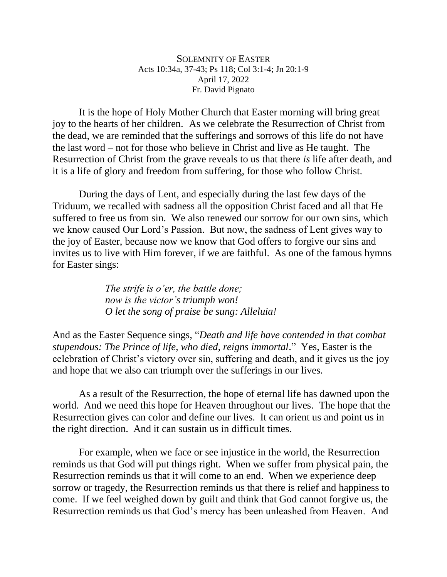SOLEMNITY OF EASTER Acts 10:34a, 37-43; Ps 118; Col 3:1-4; Jn 20:1-9 April 17, 2022 Fr. David Pignato

It is the hope of Holy Mother Church that Easter morning will bring great joy to the hearts of her children. As we celebrate the Resurrection of Christ from the dead, we are reminded that the sufferings and sorrows of this life do not have the last word – not for those who believe in Christ and live as He taught. The Resurrection of Christ from the grave reveals to us that there *is* life after death, and it is a life of glory and freedom from suffering, for those who follow Christ.

During the days of Lent, and especially during the last few days of the Triduum, we recalled with sadness all the opposition Christ faced and all that He suffered to free us from sin. We also renewed our sorrow for our own sins, which we know caused Our Lord's Passion. But now, the sadness of Lent gives way to the joy of Easter, because now we know that God offers to forgive our sins and invites us to live with Him forever, if we are faithful. As one of the famous hymns for Easter sings:

> *The strife is o'er, the battle done; now is the victor's triumph won! O let the song of praise be sung: Alleluia!*

And as the Easter Sequence sings, "*Death and life have contended in that combat stupendous: The Prince of life, who died, reigns immortal*." Yes, Easter is the celebration of Christ's victory over sin, suffering and death, and it gives us the joy and hope that we also can triumph over the sufferings in our lives.

As a result of the Resurrection, the hope of eternal life has dawned upon the world. And we need this hope for Heaven throughout our lives. The hope that the Resurrection gives can color and define our lives. It can orient us and point us in the right direction. And it can sustain us in difficult times.

For example, when we face or see injustice in the world, the Resurrection reminds us that God will put things right. When we suffer from physical pain, the Resurrection reminds us that it will come to an end. When we experience deep sorrow or tragedy, the Resurrection reminds us that there is relief and happiness to come. If we feel weighed down by guilt and think that God cannot forgive us, the Resurrection reminds us that God's mercy has been unleashed from Heaven. And